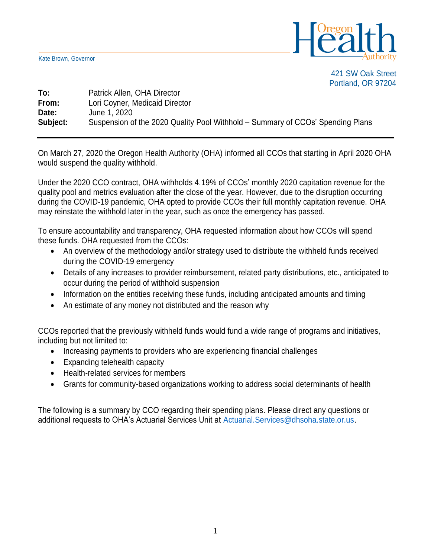Kate Brown, Governor



421 SW Oak Street Portland, OR 97204

## **To:** Patrick Allen, OHA Director **From:** Lori Coyner, Medicaid Director **Date:** June 1, 2020 **Subject:** Suspension of the 2020 Quality Pool Withhold – Summary of CCOs' Spending Plans

On March 27, 2020 the Oregon Health Authority (OHA) informed all CCOs that starting in April 2020 OHA would suspend the quality withhold.

Under the 2020 CCO contract, OHA withholds 4.19% of CCOs' monthly 2020 capitation revenue for the quality pool and metrics evaluation after the close of the year. However, due to the disruption occurring during the COVID-19 pandemic, OHA opted to provide CCOs their full monthly capitation revenue. OHA may reinstate the withhold later in the year, such as once the emergency has passed.

To ensure accountability and transparency, OHA requested information about how CCOs will spend these funds. OHA requested from the CCOs:

- An overview of the methodology and/or strategy used to distribute the withheld funds received during the COVID-19 emergency
- Details of any increases to provider reimbursement, related party distributions, etc., anticipated to occur during the period of withhold suspension
- Information on the entities receiving these funds, including anticipated amounts and timing
- An estimate of any money not distributed and the reason why

CCOs reported that the previously withheld funds would fund a wide range of programs and initiatives, including but not limited to:

- Increasing payments to providers who are experiencing financial challenges
- Expanding telehealth capacity
- Health-related services for members
- Grants for community-based organizations working to address social determinants of health

The following is a summary by CCO regarding their spending plans. Please direct any questions or additional requests to OHA's Actuarial Services Unit at Actuarial. Services@dhsoha.state.or.us.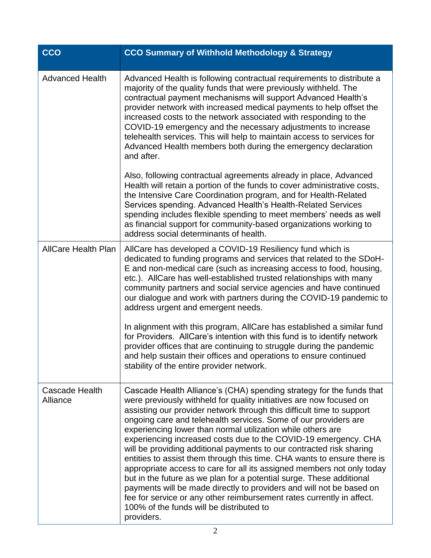| <b>CCO</b>                 | <b>CCO Summary of Withhold Methodology &amp; Strategy</b>                                                                                                                                                                                                                                                                                                                                                                                                                                                                                                                                                                                                                                                                                                                                                                                                                                                                                 |
|----------------------------|-------------------------------------------------------------------------------------------------------------------------------------------------------------------------------------------------------------------------------------------------------------------------------------------------------------------------------------------------------------------------------------------------------------------------------------------------------------------------------------------------------------------------------------------------------------------------------------------------------------------------------------------------------------------------------------------------------------------------------------------------------------------------------------------------------------------------------------------------------------------------------------------------------------------------------------------|
| <b>Advanced Health</b>     | Advanced Health is following contractual requirements to distribute a<br>majority of the quality funds that were previously withheld. The<br>contractual payment mechanisms will support Advanced Health's<br>provider network with increased medical payments to help offset the<br>increased costs to the network associated with responding to the<br>COVID-19 emergency and the necessary adjustments to increase<br>telehealth services. This will help to maintain access to services for<br>Advanced Health members both during the emergency declaration<br>and after.                                                                                                                                                                                                                                                                                                                                                            |
|                            | Also, following contractual agreements already in place, Advanced<br>Health will retain a portion of the funds to cover administrative costs,<br>the Intensive Care Coordination program, and for Health-Related<br>Services spending. Advanced Health's Health-Related Services<br>spending includes flexible spending to meet members' needs as well<br>as financial support for community-based organizations working to<br>address social determinants of health.                                                                                                                                                                                                                                                                                                                                                                                                                                                                     |
| <b>AllCare Health Plan</b> | AllCare has developed a COVID-19 Resiliency fund which is<br>dedicated to funding programs and services that related to the SDoH-<br>E and non-medical care (such as increasing access to food, housing,<br>etc.). AllCare has well-established trusted relationships with many<br>community partners and social service agencies and have continued<br>our dialogue and work with partners during the COVID-19 pandemic to<br>address urgent and emergent needs.                                                                                                                                                                                                                                                                                                                                                                                                                                                                         |
|                            | In alignment with this program, AllCare has established a similar fund<br>for Providers. AllCare's intention with this fund is to identify network<br>provider offices that are continuing to struggle during the pandemic<br>and help sustain their offices and operations to ensure continued<br>stability of the entire provider network.                                                                                                                                                                                                                                                                                                                                                                                                                                                                                                                                                                                              |
| Cascade Health<br>Alliance | Cascade Health Alliance's (CHA) spending strategy for the funds that<br>were previously withheld for quality initiatives are now focused on<br>assisting our provider network through this difficult time to support<br>ongoing care and telehealth services. Some of our providers are<br>experiencing lower than normal utilization while others are<br>experiencing increased costs due to the COVID-19 emergency. CHA<br>will be providing additional payments to our contracted risk sharing<br>entities to assist them through this time. CHA wants to ensure there is<br>appropriate access to care for all its assigned members not only today<br>but in the future as we plan for a potential surge. These additional<br>payments will be made directly to providers and will not be based on<br>fee for service or any other reimbursement rates currently in affect.<br>100% of the funds will be distributed to<br>providers. |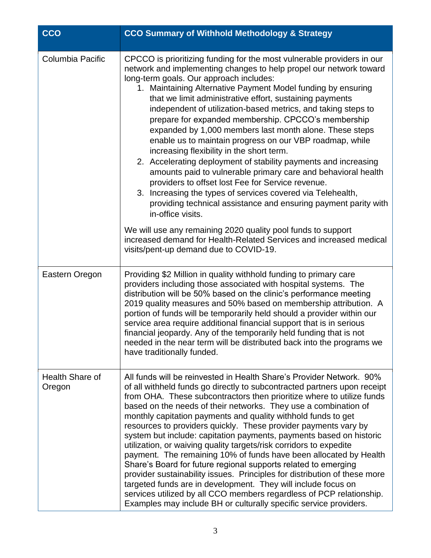| <b>CCO</b>                | <b>CCO Summary of Withhold Methodology &amp; Strategy</b>                                                                                                                                                                                                                                                                                                                                                                                                                                                                                                                                                                                                                                                                                                                                                                                                                                                                                                                                                                                                                                                                                       |
|---------------------------|-------------------------------------------------------------------------------------------------------------------------------------------------------------------------------------------------------------------------------------------------------------------------------------------------------------------------------------------------------------------------------------------------------------------------------------------------------------------------------------------------------------------------------------------------------------------------------------------------------------------------------------------------------------------------------------------------------------------------------------------------------------------------------------------------------------------------------------------------------------------------------------------------------------------------------------------------------------------------------------------------------------------------------------------------------------------------------------------------------------------------------------------------|
| Columbia Pacific          | CPCCO is prioritizing funding for the most vulnerable providers in our<br>network and implementing changes to help propel our network toward<br>long-term goals. Our approach includes:<br>1. Maintaining Alternative Payment Model funding by ensuring<br>that we limit administrative effort, sustaining payments<br>independent of utilization-based metrics, and taking steps to<br>prepare for expanded membership. CPCCO's membership<br>expanded by 1,000 members last month alone. These steps<br>enable us to maintain progress on our VBP roadmap, while<br>increasing flexibility in the short term.<br>2. Accelerating deployment of stability payments and increasing<br>amounts paid to vulnerable primary care and behavioral health<br>providers to offset lost Fee for Service revenue.<br>3. Increasing the types of services covered via Telehealth,<br>providing technical assistance and ensuring payment parity with<br>in-office visits.<br>We will use any remaining 2020 quality pool funds to support<br>increased demand for Health-Related Services and increased medical<br>visits/pent-up demand due to COVID-19. |
| Eastern Oregon            | Providing \$2 Million in quality withhold funding to primary care<br>providers including those associated with hospital systems. The<br>distribution will be 50% based on the clinic's performance meeting<br>2019 quality measures and 50% based on membership attribution. A<br>portion of funds will be temporarily held should a provider within our<br>service area require additional financial support that is in serious<br>financial jeopardy. Any of the temporarily held funding that is not<br>needed in the near term will be distributed back into the programs we<br>have traditionally funded.                                                                                                                                                                                                                                                                                                                                                                                                                                                                                                                                  |
| Health Share of<br>Oregon | All funds will be reinvested in Health Share's Provider Network. 90%<br>of all withheld funds go directly to subcontracted partners upon receipt<br>from OHA. These subcontractors then prioritize where to utilize funds<br>based on the needs of their networks. They use a combination of<br>monthly capitation payments and quality withhold funds to get<br>resources to providers quickly. These provider payments vary by<br>system but include: capitation payments, payments based on historic<br>utilization, or waiving quality targets/risk corridors to expedite<br>payment. The remaining 10% of funds have been allocated by Health<br>Share's Board for future regional supports related to emerging<br>provider sustainability issues. Principles for distribution of these more<br>targeted funds are in development. They will include focus on<br>services utilized by all CCO members regardless of PCP relationship.<br>Examples may include BH or culturally specific service providers.                                                                                                                                 |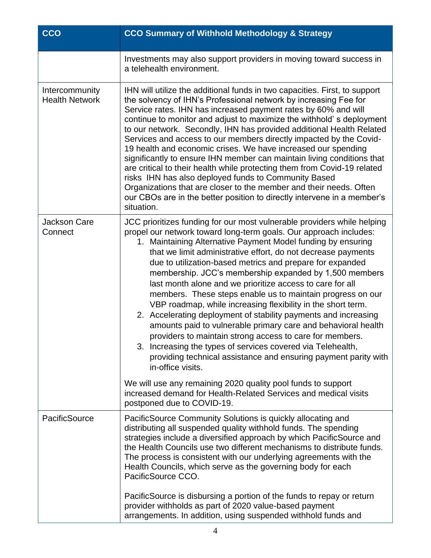| <b>CCO</b>                              | <b>CCO Summary of Withhold Methodology &amp; Strategy</b>                                                                                                                                                                                                                                                                                                                                                                                                                                                                                                                                                                                                                                                                                                                                                                                                                                                                                              |
|-----------------------------------------|--------------------------------------------------------------------------------------------------------------------------------------------------------------------------------------------------------------------------------------------------------------------------------------------------------------------------------------------------------------------------------------------------------------------------------------------------------------------------------------------------------------------------------------------------------------------------------------------------------------------------------------------------------------------------------------------------------------------------------------------------------------------------------------------------------------------------------------------------------------------------------------------------------------------------------------------------------|
|                                         | Investments may also support providers in moving toward success in<br>a telehealth environment.                                                                                                                                                                                                                                                                                                                                                                                                                                                                                                                                                                                                                                                                                                                                                                                                                                                        |
| Intercommunity<br><b>Health Network</b> | IHN will utilize the additional funds in two capacities. First, to support<br>the solvency of IHN's Professional network by increasing Fee for<br>Service rates. IHN has increased payment rates by 60% and will<br>continue to monitor and adjust to maximize the withhold's deployment<br>to our network. Secondly, IHN has provided additional Health Related<br>Services and access to our members directly impacted by the Covid-<br>19 health and economic crises. We have increased our spending<br>significantly to ensure IHN member can maintain living conditions that<br>are critical to their health while protecting them from Covid-19 related<br>risks IHN has also deployed funds to Community Based<br>Organizations that are closer to the member and their needs. Often<br>our CBOs are in the better position to directly intervene in a member's<br>situation.                                                                   |
| <b>Jackson Care</b><br>Connect          | JCC prioritizes funding for our most vulnerable providers while helping<br>propel our network toward long-term goals. Our approach includes:<br>1. Maintaining Alternative Payment Model funding by ensuring<br>that we limit administrative effort, do not decrease payments<br>due to utilization-based metrics and prepare for expanded<br>membership. JCC's membership expanded by 1,500 members<br>last month alone and we prioritize access to care for all<br>members. These steps enable us to maintain progress on our<br>VBP roadmap, while increasing flexibility in the short term.<br>2. Accelerating deployment of stability payments and increasing<br>amounts paid to vulnerable primary care and behavioral health<br>providers to maintain strong access to care for members.<br>3. Increasing the types of services covered via Telehealth,<br>providing technical assistance and ensuring payment parity with<br>in-office visits. |
|                                         | We will use any remaining 2020 quality pool funds to support<br>increased demand for Health-Related Services and medical visits<br>postponed due to COVID-19.                                                                                                                                                                                                                                                                                                                                                                                                                                                                                                                                                                                                                                                                                                                                                                                          |
| PacificSource                           | PacificSource Community Solutions is quickly allocating and<br>distributing all suspended quality withhold funds. The spending<br>strategies include a diversified approach by which PacificSource and<br>the Health Councils use two different mechanisms to distribute funds.<br>The process is consistent with our underlying agreements with the<br>Health Councils, which serve as the governing body for each<br>PacificSource CCO.<br>PacificSource is disbursing a portion of the funds to repay or return                                                                                                                                                                                                                                                                                                                                                                                                                                     |
|                                         | provider withholds as part of 2020 value-based payment<br>arrangements. In addition, using suspended withhold funds and                                                                                                                                                                                                                                                                                                                                                                                                                                                                                                                                                                                                                                                                                                                                                                                                                                |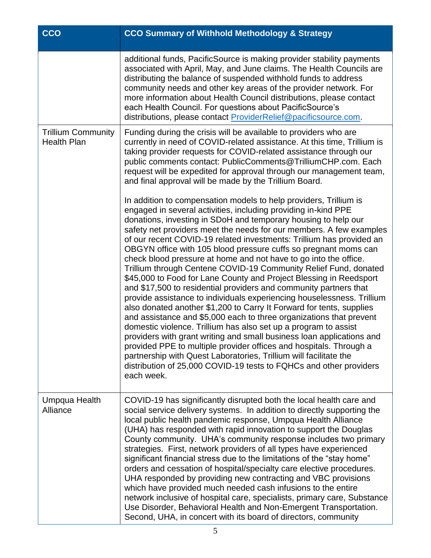| <b>CCO</b>                                      | <b>CCO Summary of Withhold Methodology &amp; Strategy</b>                                                                                                                                                                                                                                                                                                                                                                                                                                                                                                                                                                                                                                                                                                                                                                                                                                                                                                                                                                                                                                                                                                                                                                                                                                                      |
|-------------------------------------------------|----------------------------------------------------------------------------------------------------------------------------------------------------------------------------------------------------------------------------------------------------------------------------------------------------------------------------------------------------------------------------------------------------------------------------------------------------------------------------------------------------------------------------------------------------------------------------------------------------------------------------------------------------------------------------------------------------------------------------------------------------------------------------------------------------------------------------------------------------------------------------------------------------------------------------------------------------------------------------------------------------------------------------------------------------------------------------------------------------------------------------------------------------------------------------------------------------------------------------------------------------------------------------------------------------------------|
|                                                 | additional funds, PacificSource is making provider stability payments<br>associated with April, May, and June claims. The Health Councils are<br>distributing the balance of suspended withhold funds to address<br>community needs and other key areas of the provider network. For<br>more information about Health Council distributions, please contact<br>each Health Council. For questions about PacificSource's<br>distributions, please contact ProviderRelief@pacificsource.com.                                                                                                                                                                                                                                                                                                                                                                                                                                                                                                                                                                                                                                                                                                                                                                                                                     |
| <b>Trillium Community</b><br><b>Health Plan</b> | Funding during the crisis will be available to providers who are<br>currently in need of COVID-related assistance. At this time, Trillium is<br>taking provider requests for COVID-related assistance through our<br>public comments contact: PublicComments@TrilliumCHP.com. Each<br>request will be expedited for approval through our management team,<br>and final approval will be made by the Trillium Board.                                                                                                                                                                                                                                                                                                                                                                                                                                                                                                                                                                                                                                                                                                                                                                                                                                                                                            |
|                                                 | In addition to compensation models to help providers, Trillium is<br>engaged in several activities, including providing in-kind PPE<br>donations, investing in SDoH and temporary housing to help our<br>safety net providers meet the needs for our members. A few examples<br>of our recent COVID-19 related investments: Trillium has provided an<br>OBGYN office with 105 blood pressure cuffs so pregnant moms can<br>check blood pressure at home and not have to go into the office.<br>Trillium through Centene COVID-19 Community Relief Fund, donated<br>\$45,000 to Food for Lane County and Project Blessing in Reedsport<br>and \$17,500 to residential providers and community partners that<br>provide assistance to individuals experiencing houselessness. Trillium<br>also donated another \$1,200 to Carry It Forward for tents, supplies<br>and assistance and \$5,000 each to three organizations that prevent<br>domestic violence. Trillium has also set up a program to assist<br>providers with grant writing and small business loan applications and<br>provided PPE to multiple provider offices and hospitals. Through a<br>partnership with Quest Laboratories, Trillium will facilitate the<br>distribution of 25,000 COVID-19 tests to FQHCs and other providers<br>each week. |
| Umpqua Health<br>Alliance                       | COVID-19 has significantly disrupted both the local health care and<br>social service delivery systems. In addition to directly supporting the<br>local public health pandemic response, Umpqua Health Alliance<br>(UHA) has responded with rapid innovation to support the Douglas<br>County community. UHA's community response includes two primary<br>strategies. First, network providers of all types have experienced<br>significant financial stress due to the limitations of the "stay home"<br>orders and cessation of hospital/specialty care elective procedures.<br>UHA responded by providing new contracting and VBC provisions<br>which have provided much needed cash infusions to the entire<br>network inclusive of hospital care, specialists, primary care, Substance<br>Use Disorder, Behavioral Health and Non-Emergent Transportation.<br>Second, UHA, in concert with its board of directors, community                                                                                                                                                                                                                                                                                                                                                                              |